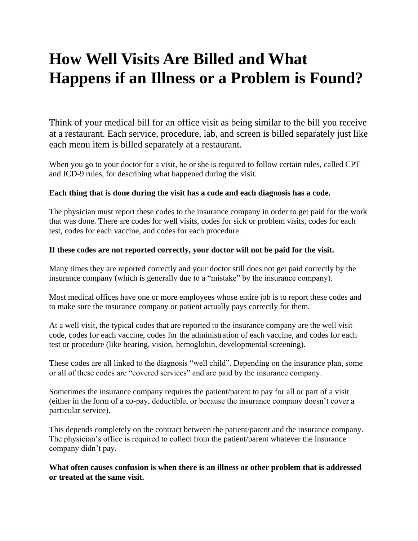## **How Well Visits Are Billed and What Happens if an Illness or a Problem is Found?**

Think of your medical bill for an office visit as being similar to the bill you receive at a restaurant. Each service, procedure, lab, and screen is billed separately just like each menu item is billed separately at a restaurant.

When you go to your doctor for a visit, he or she is required to follow certain rules, called CPT and ICD-9 rules, for describing what happened during the visit.

## **Each thing that is done during the visit has a code and each diagnosis has a code.**

The physician must report these codes to the insurance company in order to get paid for the work that was done. There are codes for well visits, codes for sick or problem visits, codes for each test, codes for each vaccine, and codes for each procedure.

## **If these codes are not reported correctly, your doctor will not be paid for the visit.**

Many times they are reported correctly and your doctor still does not get paid correctly by the insurance company (which is generally due to a "mistake" by the insurance company).

Most medical offices have one or more employees whose entire job is to report these codes and to make sure the insurance company or patient actually pays correctly for them.

At a well visit, the typical codes that are reported to the insurance company are the well visit code, codes for each vaccine, codes for the administration of each vaccine, and codes for each test or procedure (like hearing, vision, hemoglobin, developmental screening).

These codes are all linked to the diagnosis "well child". Depending on the insurance plan, some or all of these codes are "covered services" and are paid by the insurance company.

Sometimes the insurance company requires the patient/parent to pay for all or part of a visit (either in the form of a co-pay, deductible, or because the insurance company doesn't cover a particular service).

This depends completely on the contract between the patient/parent and the insurance company. The physician's office is required to collect from the patient/parent whatever the insurance company didn't pay.

**What often causes confusion is when there is an illness or other problem that is addressed or treated at the same visit.**